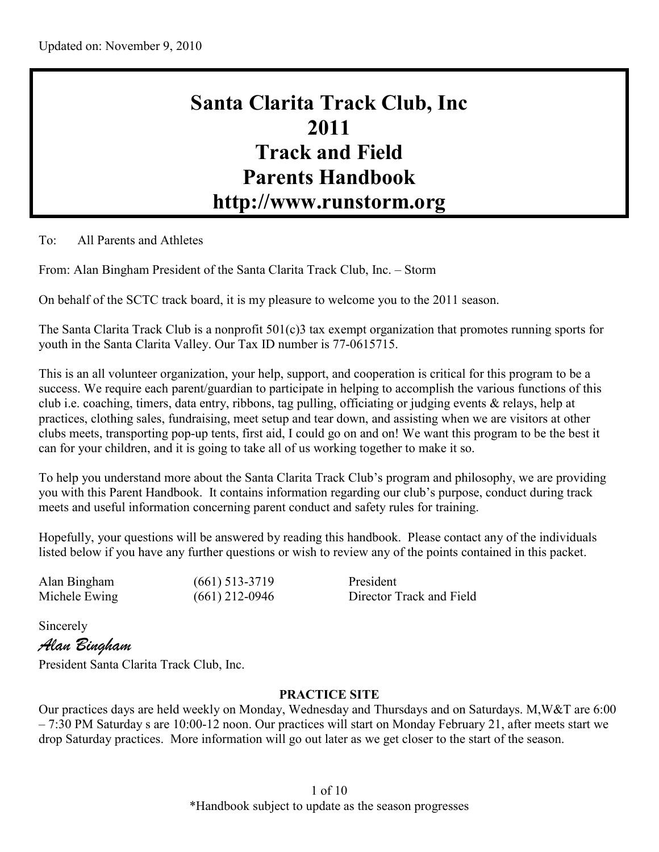# **Santa Clarita Track Club, Inc 2011 Track and Field Parents Handbook http://www.runstorm.org**

To: All Parents and Athletes

From: Alan Bingham President of the Santa Clarita Track Club, Inc. – Storm

On behalf of the SCTC track board, it is my pleasure to welcome you to the 2011 season.

The Santa Clarita Track Club is a nonprofit 501(c)3 tax exempt organization that promotes running sports for youth in the Santa Clarita Valley. Our Tax ID number is 77-0615715.

This is an all volunteer organization, your help, support, and cooperation is critical for this program to be a success. We require each parent/guardian to participate in helping to accomplish the various functions of this club i.e. coaching, timers, data entry, ribbons, tag pulling, officiating or judging events & relays, help at practices, clothing sales, fundraising, meet setup and tear down, and assisting when we are visitors at other clubs meets, transporting pop-up tents, first aid, I could go on and on! We want this program to be the best it can for your children, and it is going to take all of us working together to make it so.

To help you understand more about the Santa Clarita Track Club's program and philosophy, we are providing you with this Parent Handbook. It contains information regarding our club's purpose, conduct during track meets and useful information concerning parent conduct and safety rules for training.

Hopefully, your questions will be answered by reading this handbook. Please contact any of the individuals listed below if you have any further questions or wish to review any of the points contained in this packet.

Alan Bingham (661) 513-3719 President Michele Ewing (661) 212-0946 Director Track and Field

Sincerely

*Alan Bingham*

President Santa Clarita Track Club, Inc.

## **PRACTICE SITE**

Our practices days are held weekly on Monday, Wednesday and Thursdays and on Saturdays. M,W&T are 6:00 – 7:30 PM Saturday s are 10:00-12 noon. Our practices will start on Monday February 21, after meets start we drop Saturday practices. More information will go out later as we get closer to the start of the season.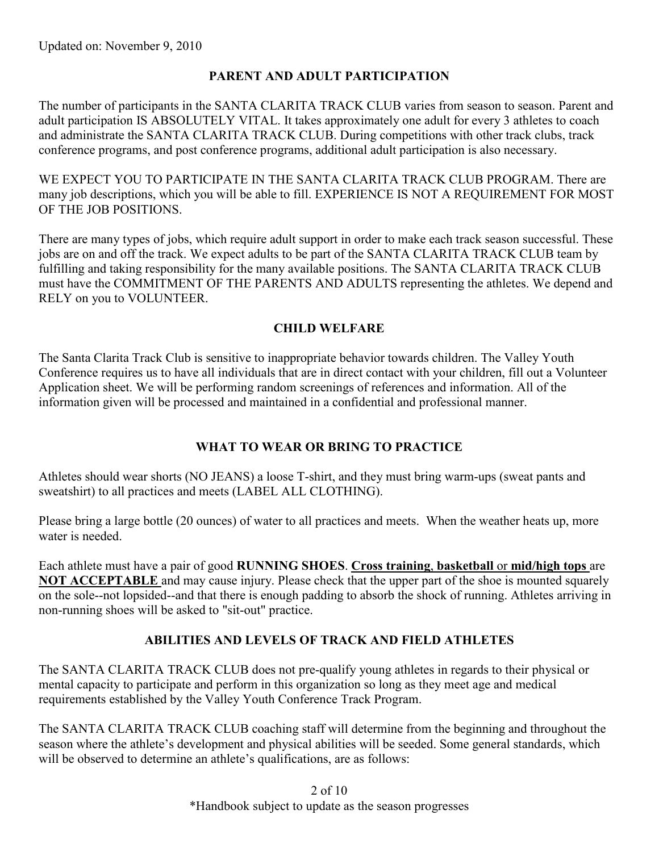# **PARENT AND ADULT PARTICIPATION**

The number of participants in the SANTA CLARITA TRACK CLUB varies from season to season. Parent and adult participation IS ABSOLUTELY VITAL. It takes approximately one adult for every 3 athletes to coach and administrate the SANTA CLARITA TRACK CLUB. During competitions with other track clubs, track conference programs, and post conference programs, additional adult participation is also necessary.

WE EXPECT YOU TO PARTICIPATE IN THE SANTA CLARITA TRACK CLUB PROGRAM. There are many job descriptions, which you will be able to fill. EXPERIENCE IS NOT A REQUIREMENT FOR MOST OF THE JOB POSITIONS.

There are many types of jobs, which require adult support in order to make each track season successful. These jobs are on and off the track. We expect adults to be part of the SANTA CLARITA TRACK CLUB team by fulfilling and taking responsibility for the many available positions. The SANTA CLARITA TRACK CLUB must have the COMMITMENT OF THE PARENTS AND ADULTS representing the athletes. We depend and RELY on you to VOLUNTEER.

## **CHILD WELFARE**

The Santa Clarita Track Club is sensitive to inappropriate behavior towards children. The Valley Youth Conference requires us to have all individuals that are in direct contact with your children, fill out a Volunteer Application sheet. We will be performing random screenings of references and information. All of the information given will be processed and maintained in a confidential and professional manner.

# **WHAT TO WEAR OR BRING TO PRACTICE**

Athletes should wear shorts (NO JEANS) a loose T-shirt, and they must bring warm-ups (sweat pants and sweatshirt) to all practices and meets (LABEL ALL CLOTHING).

Please bring a large bottle (20 ounces) of water to all practices and meets. When the weather heats up, more water is needed.

Each athlete must have a pair of good **RUNNING SHOES**. **Cross training**, **basketball** or **mid/high tops** are **NOT ACCEPTABLE** and may cause injury. Please check that the upper part of the shoe is mounted squarely on the sole--not lopsided--and that there is enough padding to absorb the shock of running. Athletes arriving in non-running shoes will be asked to "sit-out" practice.

# **ABILITIES AND LEVELS OF TRACK AND FIELD ATHLETES**

The SANTA CLARITA TRACK CLUB does not pre-qualify young athletes in regards to their physical or mental capacity to participate and perform in this organization so long as they meet age and medical requirements established by the Valley Youth Conference Track Program.

The SANTA CLARITA TRACK CLUB coaching staff will determine from the beginning and throughout the season where the athlete's development and physical abilities will be seeded. Some general standards, which will be observed to determine an athlete's qualifications, are as follows:

> 2 of 10 \*Handbook subject to update as the season progresses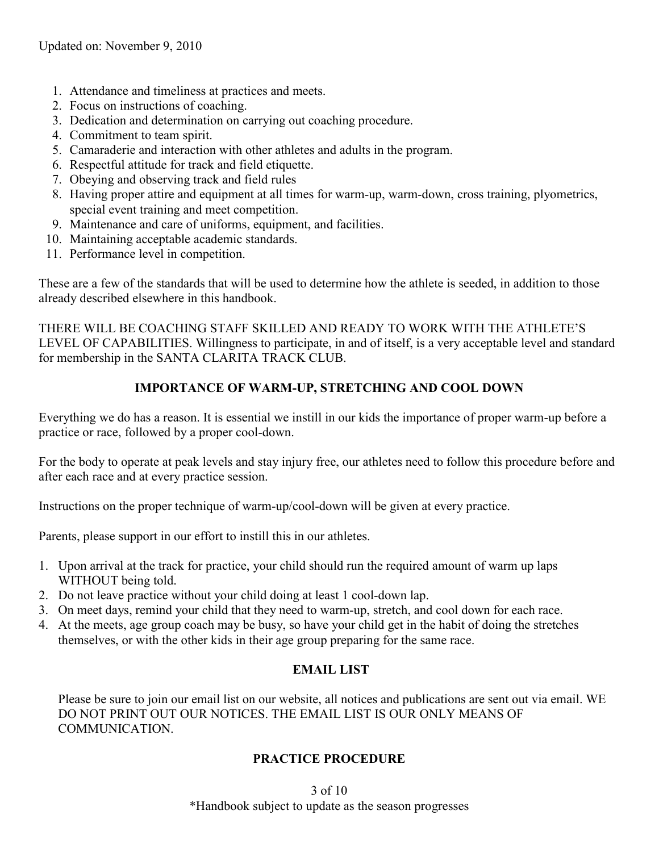- 1. Attendance and timeliness at practices and meets.
- 2. Focus on instructions of coaching.
- 3. Dedication and determination on carrying out coaching procedure.
- 4. Commitment to team spirit.
- 5. Camaraderie and interaction with other athletes and adults in the program.
- 6. Respectful attitude for track and field etiquette.
- 7. Obeying and observing track and field rules
- 8. Having proper attire and equipment at all times for warm-up, warm-down, cross training, plyometrics, special event training and meet competition.
- 9. Maintenance and care of uniforms, equipment, and facilities.
- 10. Maintaining acceptable academic standards.
- 11. Performance level in competition.

These are a few of the standards that will be used to determine how the athlete is seeded, in addition to those already described elsewhere in this handbook.

THERE WILL BE COACHING STAFF SKILLED AND READY TO WORK WITH THE ATHLETE'S LEVEL OF CAPABILITIES. Willingness to participate, in and of itself, is a very acceptable level and standard for membership in the SANTA CLARITA TRACK CLUB.

# **IMPORTANCE OF WARM-UP, STRETCHING AND COOL DOWN**

Everything we do has a reason. It is essential we instill in our kids the importance of proper warm-up before a practice or race, followed by a proper cool-down.

For the body to operate at peak levels and stay injury free, our athletes need to follow this procedure before and after each race and at every practice session.

Instructions on the proper technique of warm-up/cool-down will be given at every practice.

Parents, please support in our effort to instill this in our athletes.

- 1. Upon arrival at the track for practice, your child should run the required amount of warm up laps WITHOUT being told.
- 2. Do not leave practice without your child doing at least 1 cool-down lap.
- 3. On meet days, remind your child that they need to warm-up, stretch, and cool down for each race.
- 4. At the meets, age group coach may be busy, so have your child get in the habit of doing the stretches themselves, or with the other kids in their age group preparing for the same race.

# **EMAIL LIST**

Please be sure to join our email list on our website, all notices and publications are sent out via email. WE DO NOT PRINT OUT OUR NOTICES. THE EMAIL LIST IS OUR ONLY MEANS OF COMMUNICATION.

# **PRACTICE PROCEDURE**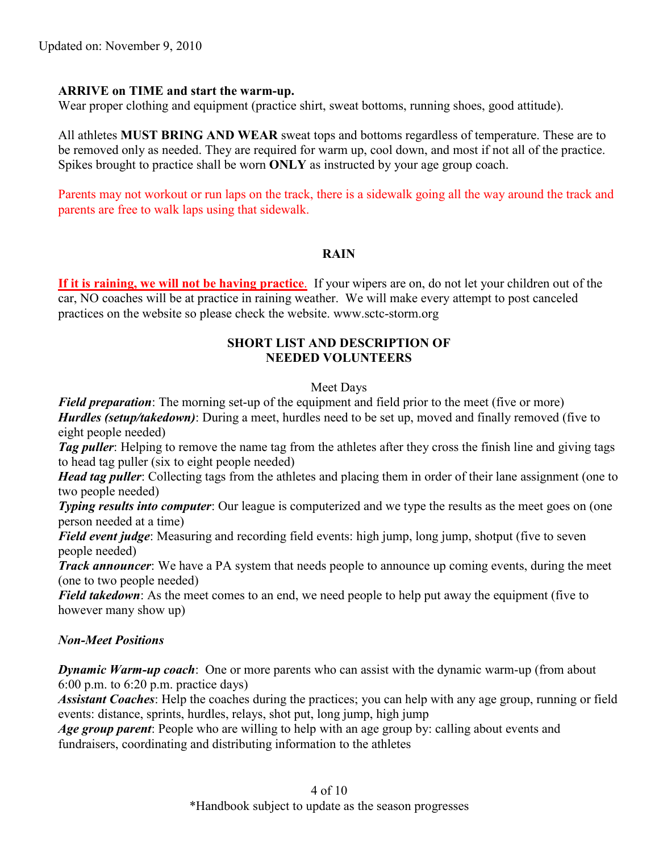## **ARRIVE on TIME and start the warm-up.**

Wear proper clothing and equipment (practice shirt, sweat bottoms, running shoes, good attitude).

All athletes **MUST BRING AND WEAR** sweat tops and bottoms regardless of temperature. These are to be removed only as needed. They are required for warm up, cool down, and most if not all of the practice. Spikes brought to practice shall be worn **ONLY** as instructed by your age group coach.

Parents may not workout or run laps on the track, there is a sidewalk going all the way around the track and parents are free to walk laps using that sidewalk.

#### **RAIN**

**If it is raining, we will not be having practice**. If your wipers are on, do not let your children out of the car, NO coaches will be at practice in raining weather. We will make every attempt to post canceled practices on the website so please check the website. www.sctc-storm.org

#### **SHORT LIST AND DESCRIPTION OF NEEDED VOLUNTEERS**

#### Meet Days

*Field preparation*: The morning set-up of the equipment and field prior to the meet (five or more) *Hurdles (setup/takedown)*: During a meet, hurdles need to be set up, moved and finally removed (five to eight people needed)

*Tag puller*: Helping to remove the name tag from the athletes after they cross the finish line and giving tags to head tag puller (six to eight people needed)

*Head tag puller*: Collecting tags from the athletes and placing them in order of their lane assignment (one to two people needed)

*Typing results into computer*: Our league is computerized and we type the results as the meet goes on (one person needed at a time)

*Field event judge*: Measuring and recording field events: high jump, long jump, shotput (five to seven people needed)

*Track announcer*: We have a PA system that needs people to announce up coming events, during the meet (one to two people needed)

*Field takedown*: As the meet comes to an end, we need people to help put away the equipment (five to however many show up)

## *Non-Meet Positions*

*Dynamic Warm-up coach*: One or more parents who can assist with the dynamic warm-up (from about 6:00 p.m. to 6:20 p.m. practice days)

*Assistant Coaches*: Help the coaches during the practices; you can help with any age group, running or field events: distance, sprints, hurdles, relays, shot put, long jump, high jump

*Age group parent*: People who are willing to help with an age group by: calling about events and fundraisers, coordinating and distributing information to the athletes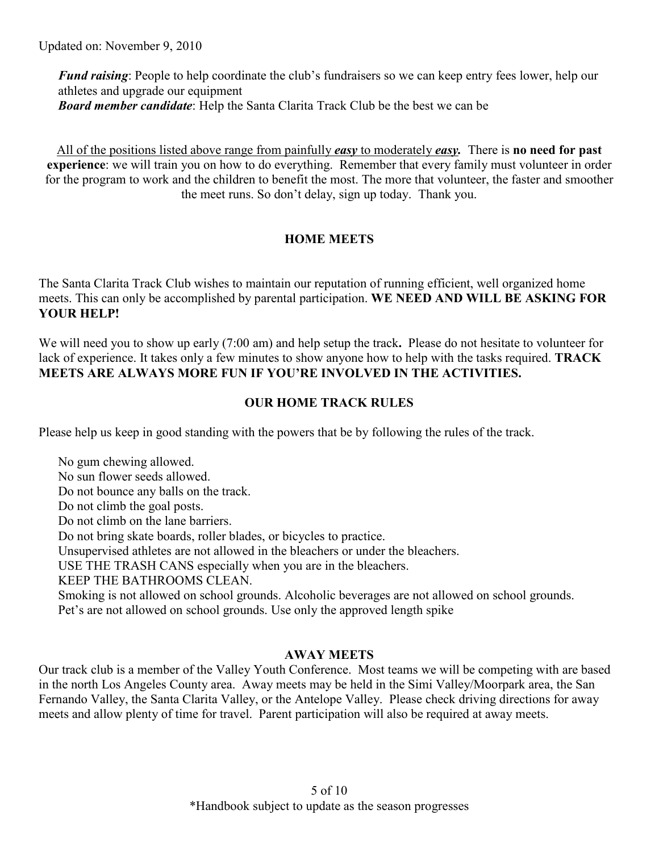*Fund raising*: People to help coordinate the club's fundraisers so we can keep entry fees lower, help our athletes and upgrade our equipment *Board member candidate*: Help the Santa Clarita Track Club be the best we can be

All of the positions listed above range from painfully *easy* to moderately *easy.* There is **no need for past experience**: we will train you on how to do everything. Remember that every family must volunteer in order for the program to work and the children to benefit the most. The more that volunteer, the faster and smoother the meet runs. So don't delay, sign up today. Thank you.

# **HOME MEETS**

The Santa Clarita Track Club wishes to maintain our reputation of running efficient, well organized home meets. This can only be accomplished by parental participation. **WE NEED AND WILL BE ASKING FOR YOUR HELP!** 

We will need you to show up early (7:00 am) and help setup the track**.** Please do not hesitate to volunteer for lack of experience. It takes only a few minutes to show anyone how to help with the tasks required. **TRACK MEETS ARE ALWAYS MORE FUN IF YOU'RE INVOLVED IN THE ACTIVITIES.**

# **OUR HOME TRACK RULES**

Please help us keep in good standing with the powers that be by following the rules of the track.

No gum chewing allowed. No sun flower seeds allowed. Do not bounce any balls on the track. Do not climb the goal posts. Do not climb on the lane barriers. Do not bring skate boards, roller blades, or bicycles to practice. Unsupervised athletes are not allowed in the bleachers or under the bleachers. USE THE TRASH CANS especially when you are in the bleachers. KEEP THE BATHROOMS CLEAN. Smoking is not allowed on school grounds. Alcoholic beverages are not allowed on school grounds. Pet's are not allowed on school grounds. Use only the approved length spike

# **AWAY MEETS**

Our track club is a member of the Valley Youth Conference. Most teams we will be competing with are based in the north Los Angeles County area. Away meets may be held in the Simi Valley/Moorpark area, the San Fernando Valley, the Santa Clarita Valley, or the Antelope Valley. Please check driving directions for away meets and allow plenty of time for travel. Parent participation will also be required at away meets.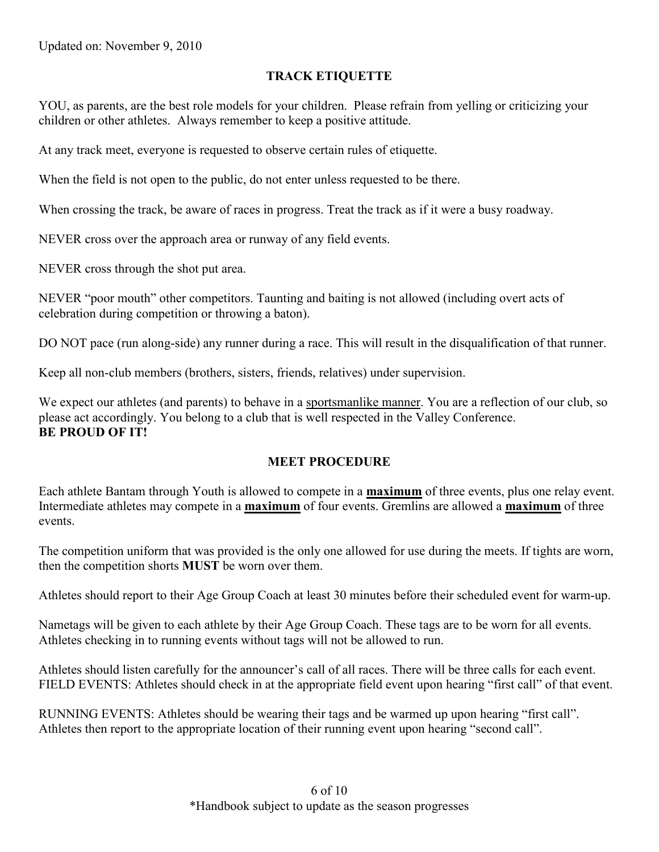# **TRACK ETIQUETTE**

YOU, as parents, are the best role models for your children. Please refrain from yelling or criticizing your children or other athletes. Always remember to keep a positive attitude.

At any track meet, everyone is requested to observe certain rules of etiquette.

When the field is not open to the public, do not enter unless requested to be there.

When crossing the track, be aware of races in progress. Treat the track as if it were a busy roadway.

NEVER cross over the approach area or runway of any field events.

NEVER cross through the shot put area.

NEVER "poor mouth" other competitors. Taunting and baiting is not allowed (including overt acts of celebration during competition or throwing a baton).

DO NOT pace (run along-side) any runner during a race. This will result in the disqualification of that runner.

Keep all non-club members (brothers, sisters, friends, relatives) under supervision.

We expect our athletes (and parents) to behave in a sportsmanlike manner. You are a reflection of our club, so please act accordingly. You belong to a club that is well respected in the Valley Conference. **BE PROUD OF IT!**

## **MEET PROCEDURE**

Each athlete Bantam through Youth is allowed to compete in a **maximum** of three events, plus one relay event. Intermediate athletes may compete in a **maximum** of four events. Gremlins are allowed a **maximum** of three events.

The competition uniform that was provided is the only one allowed for use during the meets. If tights are worn, then the competition shorts **MUST** be worn over them.

Athletes should report to their Age Group Coach at least 30 minutes before their scheduled event for warm-up.

Nametags will be given to each athlete by their Age Group Coach. These tags are to be worn for all events. Athletes checking in to running events without tags will not be allowed to run.

Athletes should listen carefully for the announcer's call of all races. There will be three calls for each event. FIELD EVENTS: Athletes should check in at the appropriate field event upon hearing "first call" of that event.

RUNNING EVENTS: Athletes should be wearing their tags and be warmed up upon hearing "first call". Athletes then report to the appropriate location of their running event upon hearing "second call".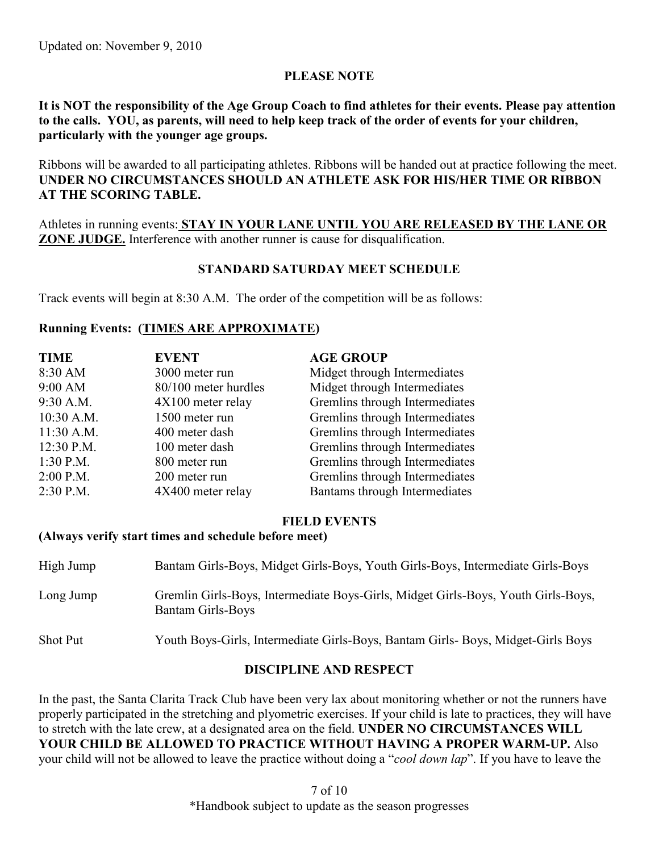# **PLEASE NOTE**

**It is NOT the responsibility of the Age Group Coach to find athletes for their events. Please pay attention to the calls. YOU, as parents, will need to help keep track of the order of events for your children, particularly with the younger age groups.**

Ribbons will be awarded to all participating athletes. Ribbons will be handed out at practice following the meet. **UNDER NO CIRCUMSTANCES SHOULD AN ATHLETE ASK FOR HIS/HER TIME OR RIBBON AT THE SCORING TABLE.** 

Athletes in running events: **STAY IN YOUR LANE UNTIL YOU ARE RELEASED BY THE LANE OR ZONE JUDGE.** Interference with another runner is cause for disqualification.

## **STANDARD SATURDAY MEET SCHEDULE**

Track events will begin at 8:30 A.M. The order of the competition will be as follows:

# **Running Events: (TIMES ARE APPROXIMATE)**

| <b>TIME</b> | <b>EVENT</b>         | <b>AGE GROUP</b>               |
|-------------|----------------------|--------------------------------|
| 8:30 AM     | 3000 meter run       | Midget through Intermediates   |
| 9:00 AM     | 80/100 meter hurdles | Midget through Intermediates   |
| 9:30 A.M.   | 4X100 meter relay    | Gremlins through Intermediates |
| 10:30 A.M.  | 1500 meter run       | Gremlins through Intermediates |
| 11:30 A.M.  | 400 meter dash       | Gremlins through Intermediates |
| 12:30 P.M.  | 100 meter dash       | Gremlins through Intermediates |
| $1:30$ P.M. | 800 meter run        | Gremlins through Intermediates |
| 2:00 P.M.   | 200 meter run        | Gremlins through Intermediates |
| 2:30 P.M.   | 4X400 meter relay    | Bantams through Intermediates  |

## **FIELD EVENTS**

#### **(Always verify start times and schedule before meet)**

| High Jump       | Bantam Girls-Boys, Midget Girls-Boys, Youth Girls-Boys, Intermediate Girls-Boys                               |
|-----------------|---------------------------------------------------------------------------------------------------------------|
| Long Jump       | Gremlin Girls-Boys, Intermediate Boys-Girls, Midget Girls-Boys, Youth Girls-Boys,<br><b>Bantam Girls-Boys</b> |
| <b>Shot Put</b> | Youth Boys-Girls, Intermediate Girls-Boys, Bantam Girls-Boys, Midget-Girls Boys                               |

## **DISCIPLINE AND RESPECT**

In the past, the Santa Clarita Track Club have been very lax about monitoring whether or not the runners have properly participated in the stretching and plyometric exercises. If your child is late to practices, they will have to stretch with the late crew, at a designated area on the field. **UNDER NO CIRCUMSTANCES WILL YOUR CHILD BE ALLOWED TO PRACTICE WITHOUT HAVING A PROPER WARM-UP.** Also your child will not be allowed to leave the practice without doing a "*cool down lap*". If you have to leave the

> 7 of 10 \*Handbook subject to update as the season progresses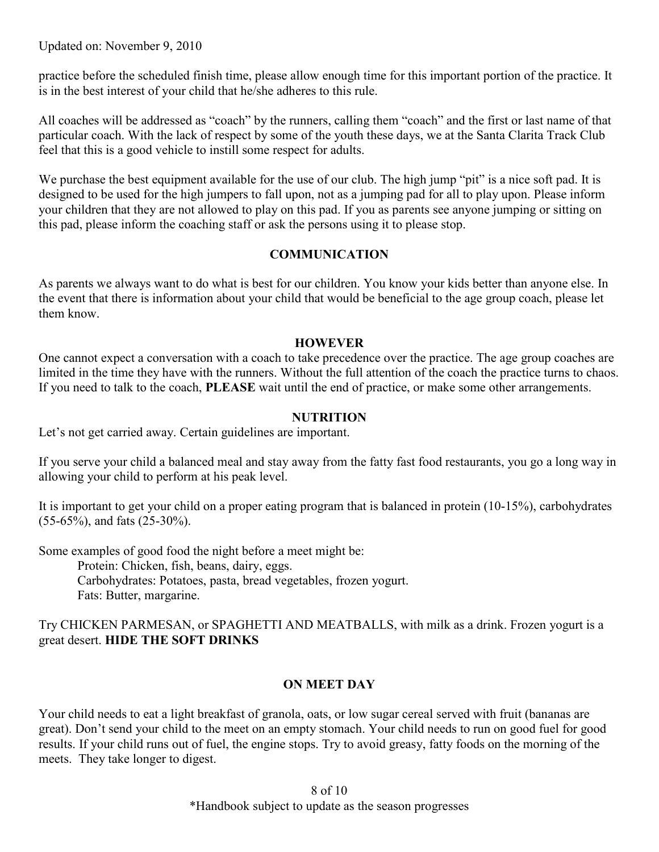Updated on: November 9, 2010

practice before the scheduled finish time, please allow enough time for this important portion of the practice. It is in the best interest of your child that he/she adheres to this rule.

All coaches will be addressed as "coach" by the runners, calling them "coach" and the first or last name of that particular coach. With the lack of respect by some of the youth these days, we at the Santa Clarita Track Club feel that this is a good vehicle to instill some respect for adults.

We purchase the best equipment available for the use of our club. The high jump "pit" is a nice soft pad. It is designed to be used for the high jumpers to fall upon, not as a jumping pad for all to play upon. Please inform your children that they are not allowed to play on this pad. If you as parents see anyone jumping or sitting on this pad, please inform the coaching staff or ask the persons using it to please stop.

## **COMMUNICATION**

As parents we always want to do what is best for our children. You know your kids better than anyone else. In the event that there is information about your child that would be beneficial to the age group coach, please let them know.

#### **HOWEVER**

One cannot expect a conversation with a coach to take precedence over the practice. The age group coaches are limited in the time they have with the runners. Without the full attention of the coach the practice turns to chaos. If you need to talk to the coach, **PLEASE** wait until the end of practice, or make some other arrangements.

## **NUTRITION**

Let's not get carried away. Certain guidelines are important.

If you serve your child a balanced meal and stay away from the fatty fast food restaurants, you go a long way in allowing your child to perform at his peak level.

It is important to get your child on a proper eating program that is balanced in protein (10-15%), carbohydrates (55-65%), and fats (25-30%).

Some examples of good food the night before a meet might be: Protein: Chicken, fish, beans, dairy, eggs. Carbohydrates: Potatoes, pasta, bread vegetables, frozen yogurt. Fats: Butter, margarine.

Try CHICKEN PARMESAN, or SPAGHETTI AND MEATBALLS, with milk as a drink. Frozen yogurt is a great desert. **HIDE THE SOFT DRINKS**

#### **ON MEET DAY**

Your child needs to eat a light breakfast of granola, oats, or low sugar cereal served with fruit (bananas are great). Don't send your child to the meet on an empty stomach. Your child needs to run on good fuel for good results. If your child runs out of fuel, the engine stops. Try to avoid greasy, fatty foods on the morning of the meets. They take longer to digest.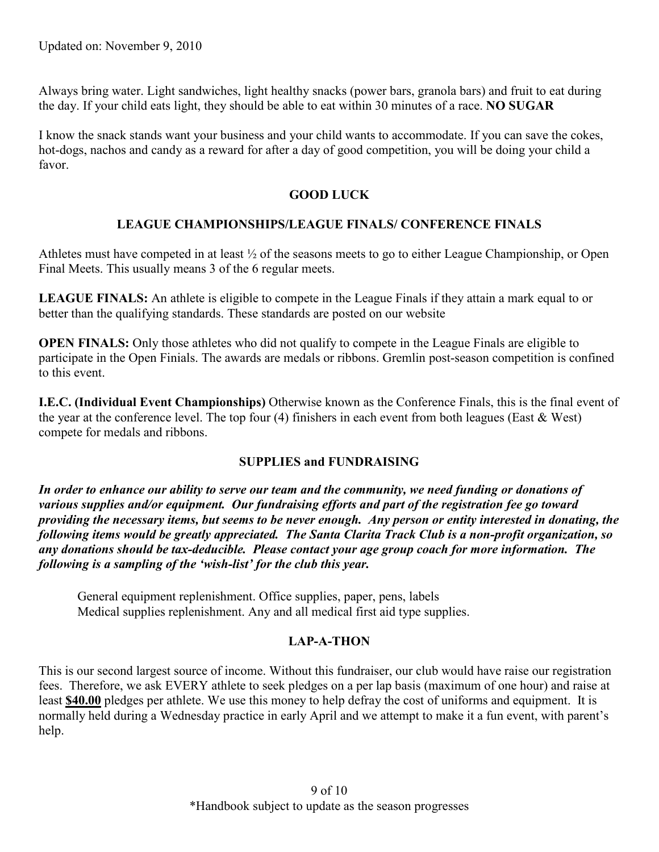Always bring water. Light sandwiches, light healthy snacks (power bars, granola bars) and fruit to eat during the day. If your child eats light, they should be able to eat within 30 minutes of a race. **NO SUGAR**

I know the snack stands want your business and your child wants to accommodate. If you can save the cokes, hot-dogs, nachos and candy as a reward for after a day of good competition, you will be doing your child a favor.

## **GOOD LUCK**

## **LEAGUE CHAMPIONSHIPS/LEAGUE FINALS/ CONFERENCE FINALS**

Athletes must have competed in at least ½ of the seasons meets to go to either League Championship, or Open Final Meets. This usually means 3 of the 6 regular meets.

**LEAGUE FINALS:** An athlete is eligible to compete in the League Finals if they attain a mark equal to or better than the qualifying standards. These standards are posted on our website

**OPEN FINALS:** Only those athletes who did not qualify to compete in the League Finals are eligible to participate in the Open Finials. The awards are medals or ribbons. Gremlin post-season competition is confined to this event.

**I.E.C. (Individual Event Championships)** Otherwise known as the Conference Finals, this is the final event of the year at the conference level. The top four (4) finishers in each event from both leagues (East & West) compete for medals and ribbons.

## **SUPPLIES and FUNDRAISING**

*In order to enhance our ability to serve our team and the community, we need funding or donations of various supplies and/or equipment. Our fundraising efforts and part of the registration fee go toward providing the necessary items, but seems to be never enough. Any person or entity interested in donating, the following items would be greatly appreciated. The Santa Clarita Track Club is a non-profit organization, so any donations should be tax-deducible. Please contact your age group coach for more information. The following is a sampling of the 'wish-list' for the club this year.*

General equipment replenishment. Office supplies, paper, pens, labels Medical supplies replenishment. Any and all medical first aid type supplies.

## **LAP-A-THON**

This is our second largest source of income. Without this fundraiser, our club would have raise our registration fees. Therefore, we ask EVERY athlete to seek pledges on a per lap basis (maximum of one hour) and raise at least **\$40.00** pledges per athlete. We use this money to help defray the cost of uniforms and equipment. It is normally held during a Wednesday practice in early April and we attempt to make it a fun event, with parent's help.